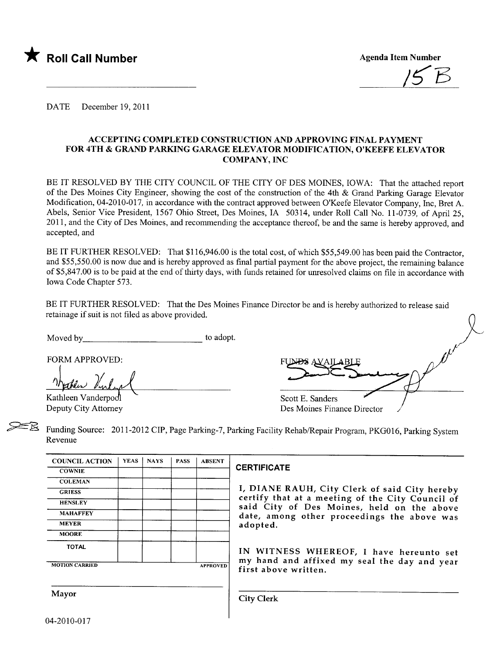

 $15B$ 

DATE December 19,2011

## ACCEPTING COMPLETED CONSTRUCTION AND APPROVING FINAL PAYMENT FOR 4TH & GRAND PARNG GARAGE ELEVATOR MODIFICATION, O'KEEFE ELEVATOR COMPANY,INC

BE IT RESOLVED BY THE CITY COUNCIL OF THE CITY OF DES MOINES, IOWA: That the attached report of the Des Moines City Engineer, showing the cost of the construction of the 4th & Grand Parking Garage Elevator Modification, 04-2010-017, in accordance with the contract approved between O'Keefe Elevator Company, Inc, Bret A. Abels, Senior Vice President, 1567 Ohio Street, Des Moines, IA 50314, under Roll Call No. 11-0739, of April 25, 2011, and the City of Des Moines, and recommending the acceptance thereof, be and the same is hereby approved, and accepted, and

BE IT FURTHER RESOLVED: That \$116,946.00 is the total cost, of which \$55,549.00 has been paid the Contractor, and \$55,550.00 is now due and is hereby approved as final partial payment for the above project, the remaining balance of \$5,847.00 is to be paid at the end of thirty days, with funds retained for unresolved claims on fie in accordance with Iowa Code Chapter 573.

BE IT FURTHER RESOLVED: That the Des Moines Finance Director be and is hereby authorized to release said retainage if suit is not fied as above provided.

Moved by to adopt.

FORM APPROVED:

Machen Kulink

Kathleen Vanderpool Deputy City Attorney

| FUND.                       |  |
|-----------------------------|--|
| Scott E. Sanders            |  |
| Des Moines Finance Director |  |

Funding Source: 2011-2012 CIP, Page Parking-7, Parking Facility Rehab/Repair Program, PKG016, Parking System Revenue

| <b>COUNCIL ACTION</b> | <b>YEAS</b> | <b>NAYS</b> | <b>PASS</b> | <b>ABSENT</b>   |
|-----------------------|-------------|-------------|-------------|-----------------|
| <b>COWNIE</b>         |             |             |             |                 |
| <b>COLEMAN</b>        |             |             |             |                 |
| <b>GRIESS</b>         |             |             |             |                 |
| <b>HENSLEY</b>        |             |             |             |                 |
| <b>MAHAFFEY</b>       |             |             |             |                 |
| <b>MEYER</b>          |             |             |             |                 |
| <b>MOORE</b>          |             |             |             |                 |
| <b>TOTAL</b>          |             |             |             |                 |
| <b>MOTION CARRIED</b> |             |             |             | <b>APPROVED</b> |

# CERTIFICATE

I, DIANE RAUH, City Clerk of said City hereby certify that at a meeting of the City Council of said City of Des Moines, held on the above date, among other proceedings the above was adopted.

IN WITNESS WHEREOF, I have hereunto set my hand and affixed my seal the day and year first above written.

Mayor City Clerk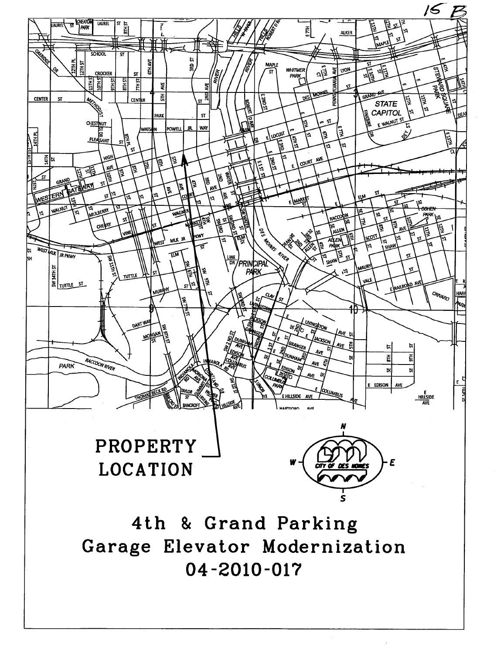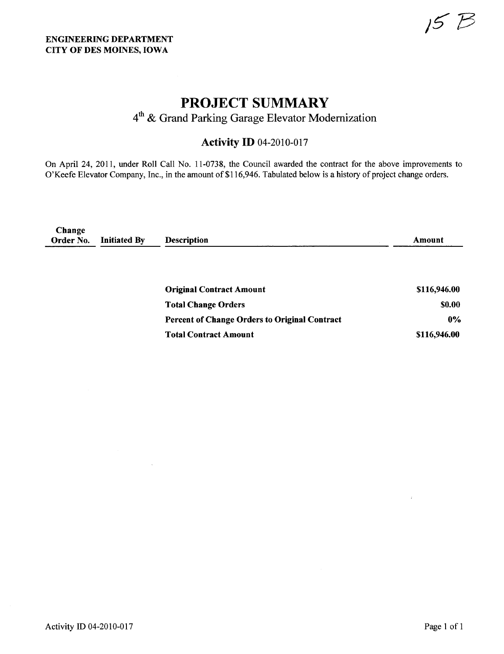J.

# PROJECT SUMMARY

4th & Grand Parking Garage Elevator Modernization

# **Activity ID 04-2010-017**

On April 24, 2011, under Roll Call No. 11-0738, the Council awarded the contract for the above improvements to O'Keefe Elevator Company, Inc., in the amount of \$116,946. Tabulated below is a history of project change orders.

| Change<br>Order No. | <b>Initiated By</b> | <b>Description</b>                            | Amount       |
|---------------------|---------------------|-----------------------------------------------|--------------|
|                     |                     | <b>Original Contract Amount</b>               | \$116,946.00 |
|                     |                     | <b>Total Change Orders</b>                    | \$0.00       |
|                     |                     | Percent of Change Orders to Original Contract | $0\%$        |
|                     |                     | <b>Total Contract Amount</b>                  | \$116,946.00 |

 $\bar{\bar{z}}$ 

 $\bar{I}$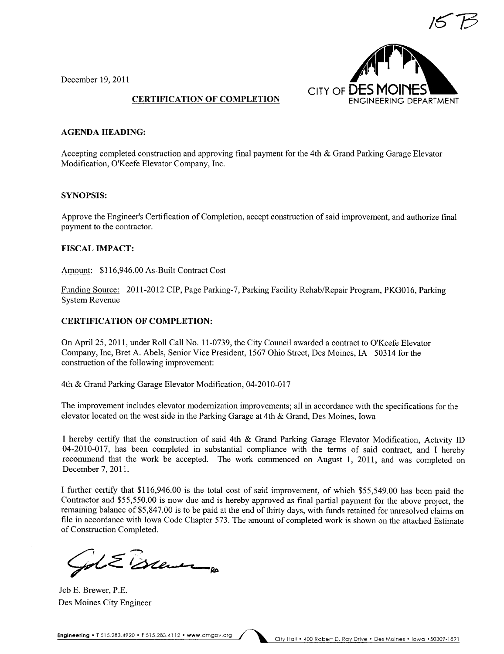

December 19, 2011

### CERTIFICATION OF COMPLETION

#### AGENDA HEADING:

Accepting completed construction and approving final payment for the 4th & Grand Parking Garage Elevator Modification, O'Keefe Elevator Company, Inc.

### SYNOPSIS:

Approve the Engineer's Certification of Completion, accept construction of said improvement, and authorize final payment to the contractor.

#### FISCAL IMPACT:

Amount: \$116,946.00 As-Built Contract Cost

Funding Source: 2011-2012 CIP, Page Parking-7, Parking Facility Rehab/Repair Program, PKGOI6, Parking System Revenue

#### CERTIFICATION OF COMPLETION:

On April 25, 2011, under Roll Call No.1 1-0739, the City Council awarded a contract to O'Keefe Elevator Company, Inc, Bret A. Abels, Senior Vice President, 1567 Ohio Street, Des Moines, IA 50314 for the construction of the following improvement:

4th & Grand Parking Garage Elevator Modification, 04-2010-017

The improvement includes elevator modernization improvements; all in accordance with the specifications for the elevator located on the west side in the Parking Garage at 4th & Grand, Des Moines, Iowa

I hereby certify that the construction of said 4th & Grand Parking Garage Elevator Modification, Activity ID 04-2010-017, has been completed in substantial compliance with the terms of said contract, and I hereby recommend that the work be accepted. The work commenced on August 1, 2011, and was completed on December 7, 2011.

I further certify that \$116,946.00 is the total cost of said improvement, of which \$55,549.00 has been paid the Contractor and \$55,550.00 is now due and is hereby approved as final partial payment for the above project, the rernaining balance of \$5,847.00 is to be paid at the end of thirty days, with funds retained for unresolved claims on fie in accordance with Iowa Code Chapter 573. The amount of completed work is shown on the attached Estimate of Construction Completed.

pt & Brewer

Jeb E. Brewer, P,E. Des Moines City Engineer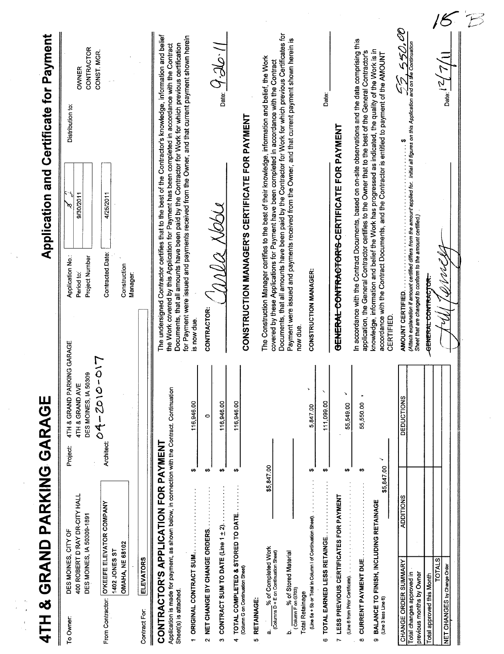| 400 ROBERT D'RAY DR-CITY HALL<br>O'KEEFE ELEVATOR COMPANY<br>DES MOINES, IA 50309-1891<br>DES MOINES, CITY OF<br><b>OMAHA, NE 68102</b><br>1402 JONES ST<br>From Contractor:<br>To Owner: | 4TH & GRAND PARKING GARAGE                                                           | <b>Application and Certificate for Payment</b>                                                                                                                                                                                                                                                                               |                                                          |
|-------------------------------------------------------------------------------------------------------------------------------------------------------------------------------------------|--------------------------------------------------------------------------------------|------------------------------------------------------------------------------------------------------------------------------------------------------------------------------------------------------------------------------------------------------------------------------------------------------------------------------|----------------------------------------------------------|
|                                                                                                                                                                                           | GARAGE<br>4TH & GRAND PARKING<br>DES MOINES, IA 50309<br>4TH & GRAND AVE<br>Project: | 9/30/2011<br>Application No.:<br>Project Number<br>Period to:                                                                                                                                                                                                                                                                | CONTRACTOR<br>OWNER<br>Distribution to:                  |
|                                                                                                                                                                                           | 04-2010-01<br><b>Architect:</b>                                                      | 4/25/2011<br>Contracted.Date:<br>Construction<br>Manager:                                                                                                                                                                                                                                                                    | CONST MGR.                                               |
| <b>ELEVATORS</b><br>Contract For:                                                                                                                                                         |                                                                                      |                                                                                                                                                                                                                                                                                                                              |                                                          |
| Application is made for payment, as shown below, in connection with the Contract. Continuation<br>APPLICATION FOR PAYMENT<br>CONTRACTOR'S<br>Sheet(s) is attached.                        |                                                                                      | The undersigned Contractor certifies that to the best of the Contractor's knowledge, information and belief<br>Documents, that all amounts have been paid by the Contractor for Work for which previous certification<br>the Work covered by this Application for Payment has been completed in accordance with the Contract |                                                          |
| ₩,<br><b>ORIGINAL CONTRACT SUM.</b><br>÷                                                                                                                                                  | 116,946.00                                                                           | for Payment were issued and payments received from the Owner, and that current payment shown herein<br>is now due.                                                                                                                                                                                                           |                                                          |
| $\leftrightarrow$<br>2 NET CHANGE BY CHANGE ORDERS.                                                                                                                                       | 0                                                                                    | CONTRACTOR:                                                                                                                                                                                                                                                                                                                  |                                                          |
| $\leftrightarrow$<br>CONTRACT SUM TO DATE (Line 1 ± 2).<br>$\ddot{\mathbf{c}}$                                                                                                            | 116,946.00                                                                           | mea xesu                                                                                                                                                                                                                                                                                                                     | $\eta$ , $\partial \mathcal{L}$ , $\partial \mathcal{L}$ |
| $\leftrightarrow$<br>TOTAL COMPLETED & STORED TO DATE.<br>(Column G on Continuation Sheet)<br>4                                                                                           | 116,946.00                                                                           | <b>CONSTRUCTION MANAGER'S CERTIFICATE FOR PAYMENT</b>                                                                                                                                                                                                                                                                        |                                                          |
| RETAINAGE:<br>Ю                                                                                                                                                                           |                                                                                      |                                                                                                                                                                                                                                                                                                                              |                                                          |
| \$5,847.00<br>$\frac{96}{2}$ of Completed Work<br>(Columns D + E on Continuation Sheet)<br>αj                                                                                             |                                                                                      | The Construction Manager certifies to the best of their knowledge, information and belief, the Work<br>covered by these Applications for Payment have been completed in accordance with the Contract                                                                                                                         |                                                          |
| y of Stored Material<br>(Column F on G703)<br>غ                                                                                                                                           |                                                                                      | Documents, that all amounts have been paid by the Contractor for Work for which previous Certificates for<br>Payment were issued and payments received from the Owner, and that current payment shown herein is<br>now due.                                                                                                  |                                                          |
| ₩<br>(Line 5a + 5b or Total in Column I of Continuation Sheet).<br><b>Total Retainage</b>                                                                                                 | $\blacktriangleright$<br>5,847.00                                                    | CONSTRUCTION MANAGER:                                                                                                                                                                                                                                                                                                        |                                                          |
| ₩<br>TOTAL EARNED LESS RETAINGE<br>G                                                                                                                                                      | $\boldsymbol{\checkmark}$<br>111,099.00                                              |                                                                                                                                                                                                                                                                                                                              | Date:                                                    |
| ₩<br>LESS PREVIOUS CERTIFICATES FOR PAYMENT<br>(Line 6 from Prior Certificate).<br>$\overline{r}$                                                                                         | ×<br>55,549.00                                                                       | GENERAL CONTRACTOR'S CERTIFICATE FOR PAYMENT                                                                                                                                                                                                                                                                                 |                                                          |
| မာ<br>CURRENT PAYMENT DUE<br>$\infty$                                                                                                                                                     | 55,550.00                                                                            | In accordance with the Contract Documents, based on on-site observations and the data comprising this<br>application, the General Contractor certifies to the Owner that to the best of the General Contractor's                                                                                                             |                                                          |
| ↘<br>\$5,847.00<br>BALANCE TO FINISH, INCLUDING RETAINAGE<br>(Line 3 less Line 6)<br>o                                                                                                    |                                                                                      | knowledge, information and belief the Work has progressed as indicated, the quality of the Work is in<br>accordance with the Contract Documents, and the Contractor is entitled to payment of the AMOUNT<br><b>CERTIFIED.</b>                                                                                                |                                                          |
| <b>ADDITIONS</b><br>CHANGE ORDER SUMMARY                                                                                                                                                  | DEDUCTIONS                                                                           | AMOUNT CERTIFIED.                                                                                                                                                                                                                                                                                                            | 550,                                                     |
| Total changes approved in<br>previous months by Owner                                                                                                                                     |                                                                                      | ANNOOIN I OEK I IFIED.<br>(Attach explanation if amount certified differs from the amount applied for. Initial all figures on this Application and on the Continuation<br>$\ddot{\cdot}$ :<br>Sheet that are changed to conform to the amount certified.)                                                                    |                                                          |
| <b>TOTALS</b><br><b>Total approved this Month</b>                                                                                                                                         |                                                                                      | <b>GENERAL CONTRACTOR</b>                                                                                                                                                                                                                                                                                                    |                                                          |
| NET CHANGES by Change Order                                                                                                                                                               |                                                                                      |                                                                                                                                                                                                                                                                                                                              | Date:                                                    |